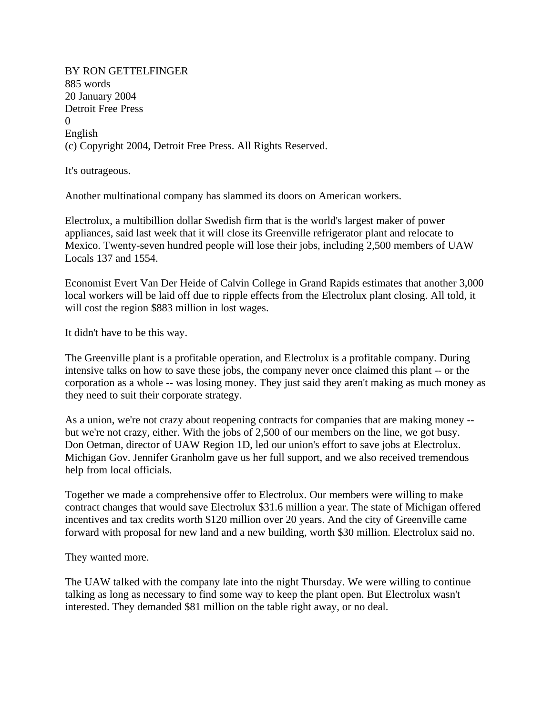BY RON GETTELFINGER 885 words 20 January 2004 Detroit Free Press  $\Omega$ English (c) Copyright 2004, Detroit Free Press. All Rights Reserved.

It's outrageous.

Another multinational company has slammed its doors on American workers.

Electrolux, a multibillion dollar Swedish firm that is the world's largest maker of power appliances, said last week that it will close its Greenville refrigerator plant and relocate to Mexico. Twenty-seven hundred people will lose their jobs, including 2,500 members of UAW Locals 137 and 1554.

Economist Evert Van Der Heide of Calvin College in Grand Rapids estimates that another 3,000 local workers will be laid off due to ripple effects from the Electrolux plant closing. All told, it will cost the region \$883 million in lost wages.

It didn't have to be this way.

The Greenville plant is a profitable operation, and Electrolux is a profitable company. During intensive talks on how to save these jobs, the company never once claimed this plant -- or the corporation as a whole -- was losing money. They just said they aren't making as much money as they need to suit their corporate strategy.

As a union, we're not crazy about reopening contracts for companies that are making money - but we're not crazy, either. With the jobs of 2,500 of our members on the line, we got busy. Don Oetman, director of UAW Region 1D, led our union's effort to save jobs at Electrolux. Michigan Gov. Jennifer Granholm gave us her full support, and we also received tremendous help from local officials.

Together we made a comprehensive offer to Electrolux. Our members were willing to make contract changes that would save Electrolux \$31.6 million a year. The state of Michigan offered incentives and tax credits worth \$120 million over 20 years. And the city of Greenville came forward with proposal for new land and a new building, worth \$30 million. Electrolux said no.

They wanted more.

The UAW talked with the company late into the night Thursday. We were willing to continue talking as long as necessary to find some way to keep the plant open. But Electrolux wasn't interested. They demanded \$81 million on the table right away, or no deal.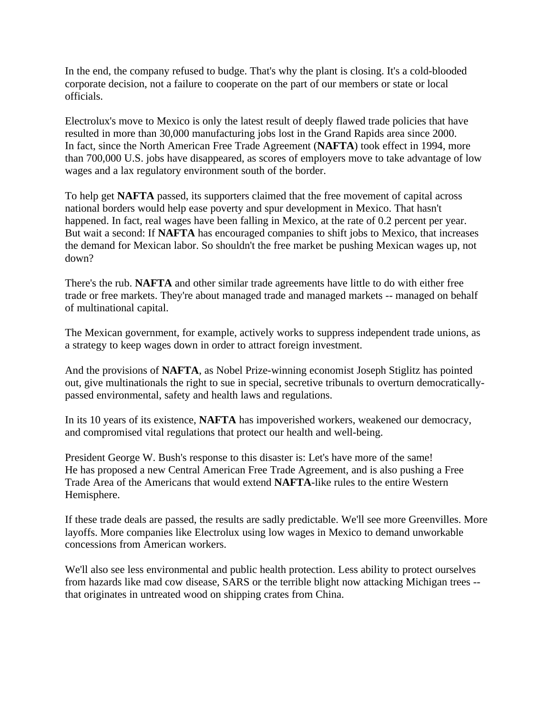In the end, the company refused to budge. That's why the plant is closing. It's a cold-blooded corporate decision, not a failure to cooperate on the part of our members or state or local officials.

Electrolux's move to Mexico is only the latest result of deeply flawed trade policies that have resulted in more than 30,000 manufacturing jobs lost in the Grand Rapids area since 2000. In fact, since the North American Free Trade Agreement (**NAFTA**) took effect in 1994, more than 700,000 U.S. jobs have disappeared, as scores of employers move to take advantage of low wages and a lax regulatory environment south of the border.

To help get **NAFTA** passed, its supporters claimed that the free movement of capital across national borders would help ease poverty and spur development in Mexico. That hasn't happened. In fact, real wages have been falling in Mexico, at the rate of 0.2 percent per year. But wait a second: If **NAFTA** has encouraged companies to shift jobs to Mexico, that increases the demand for Mexican labor. So shouldn't the free market be pushing Mexican wages up, not down?

There's the rub. **NAFTA** and other similar trade agreements have little to do with either free trade or free markets. They're about managed trade and managed markets -- managed on behalf of multinational capital.

The Mexican government, for example, actively works to suppress independent trade unions, as a strategy to keep wages down in order to attract foreign investment.

And the provisions of **NAFTA**, as Nobel Prize-winning economist Joseph Stiglitz has pointed out, give multinationals the right to sue in special, secretive tribunals to overturn democraticallypassed environmental, safety and health laws and regulations.

In its 10 years of its existence, **NAFTA** has impoverished workers, weakened our democracy, and compromised vital regulations that protect our health and well-being.

President George W. Bush's response to this disaster is: Let's have more of the same! He has proposed a new Central American Free Trade Agreement, and is also pushing a Free Trade Area of the Americans that would extend **NAFTA**-like rules to the entire Western Hemisphere.

If these trade deals are passed, the results are sadly predictable. We'll see more Greenvilles. More layoffs. More companies like Electrolux using low wages in Mexico to demand unworkable concessions from American workers.

We'll also see less environmental and public health protection. Less ability to protect ourselves from hazards like mad cow disease, SARS or the terrible blight now attacking Michigan trees - that originates in untreated wood on shipping crates from China.